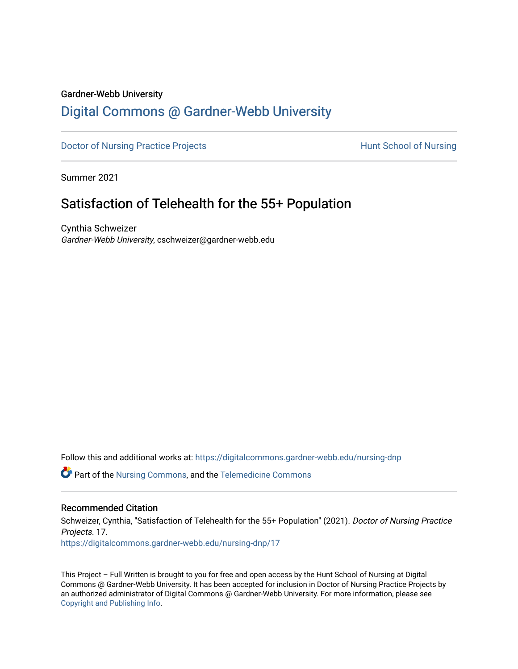#### Gardner-Webb University

# [Digital Commons @ Gardner-Webb University](https://digitalcommons.gardner-webb.edu/)

[Doctor of Nursing Practice Projects](https://digitalcommons.gardner-webb.edu/nursing-dnp) **Exercise Exercise Serverse Hunt School of Nursing** 

Summer 2021

# Satisfaction of Telehealth for the 55+ Population

Cynthia Schweizer Gardner-Webb University, cschweizer@gardner-webb.edu

Follow this and additional works at: [https://digitalcommons.gardner-webb.edu/nursing-dnp](https://digitalcommons.gardner-webb.edu/nursing-dnp?utm_source=digitalcommons.gardner-webb.edu%2Fnursing-dnp%2F17&utm_medium=PDF&utm_campaign=PDFCoverPages) 

Part of the [Nursing Commons,](http://network.bepress.com/hgg/discipline/718?utm_source=digitalcommons.gardner-webb.edu%2Fnursing-dnp%2F17&utm_medium=PDF&utm_campaign=PDFCoverPages) and the [Telemedicine Commons](http://network.bepress.com/hgg/discipline/1367?utm_source=digitalcommons.gardner-webb.edu%2Fnursing-dnp%2F17&utm_medium=PDF&utm_campaign=PDFCoverPages)

### Recommended Citation

Schweizer, Cynthia, "Satisfaction of Telehealth for the 55+ Population" (2021). Doctor of Nursing Practice Projects. 17. [https://digitalcommons.gardner-webb.edu/nursing-dnp/17](https://digitalcommons.gardner-webb.edu/nursing-dnp/17?utm_source=digitalcommons.gardner-webb.edu%2Fnursing-dnp%2F17&utm_medium=PDF&utm_campaign=PDFCoverPages)

This Project – Full Written is brought to you for free and open access by the Hunt School of Nursing at Digital Commons @ Gardner-Webb University. It has been accepted for inclusion in Doctor of Nursing Practice Projects by an authorized administrator of Digital Commons @ Gardner-Webb University. For more information, please see [Copyright and Publishing Info.](https://digitalcommons.gardner-webb.edu/copyright_publishing.html)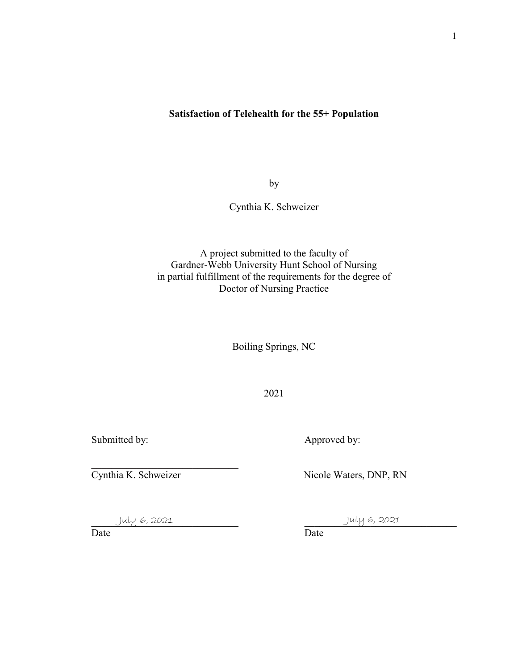### **Satisfaction of Telehealth for the 55+ Population**

by

Cynthia K. Schweizer

A project submitted to the faculty of Gardner-Webb University Hunt School of Nursing in partial fulfillment of the requirements for the degree of Doctor of Nursing Practice

Boiling Springs, NC

2021

Submitted by: <br>
Approved by:

Cynthia K. Schweizer Nicole Waters, DNP, RN

July 6, 2021

 $\overline{\phantom{a}}$ 

July 6, 2021

Date Date Date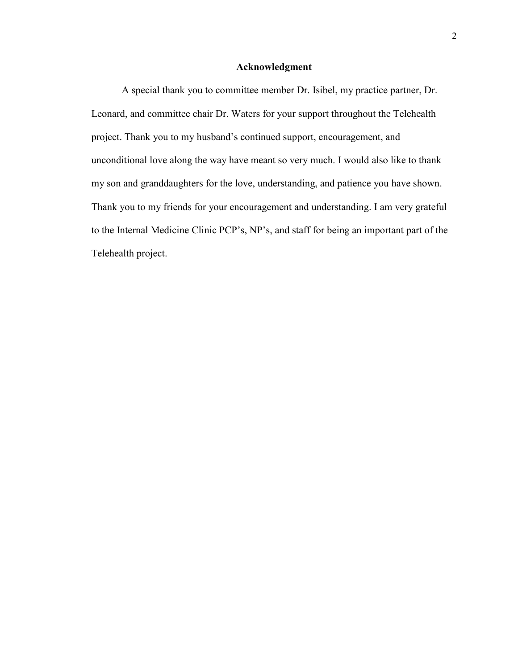#### **Acknowledgment**

A special thank you to committee member Dr. Isibel, my practice partner, Dr. Leonard, and committee chair Dr. Waters for your support throughout the Telehealth project. Thank you to my husband's continued support, encouragement, and unconditional love along the way have meant so very much. I would also like to thank my son and granddaughters for the love, understanding, and patience you have shown. Thank you to my friends for your encouragement and understanding. I am very grateful to the Internal Medicine Clinic PCP's, NP's, and staff for being an important part of the Telehealth project.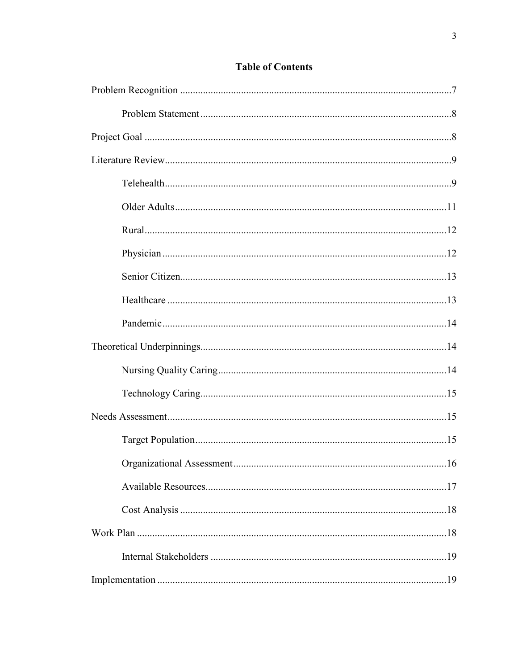# **Table of Contents**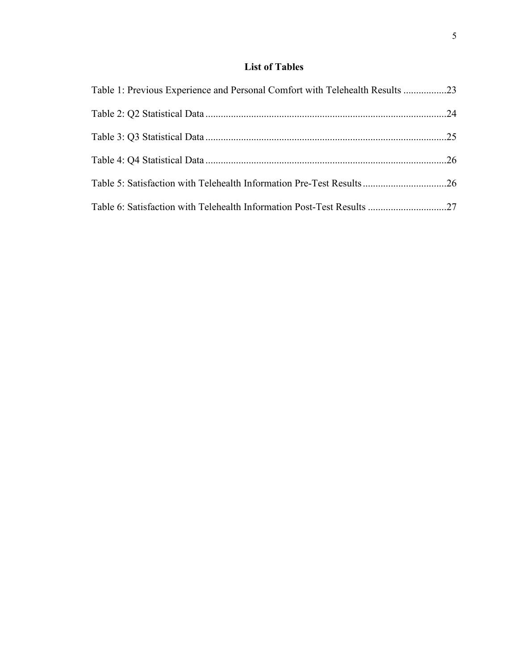# **List of Tables**

| Table 1: Previous Experience and Personal Comfort with Telehealth Results 23 |  |
|------------------------------------------------------------------------------|--|
|                                                                              |  |
|                                                                              |  |
|                                                                              |  |
| Table 5: Satisfaction with Telehealth Information Pre-Test Results26         |  |
| Table 6: Satisfaction with Telehealth Information Post-Test Results 27       |  |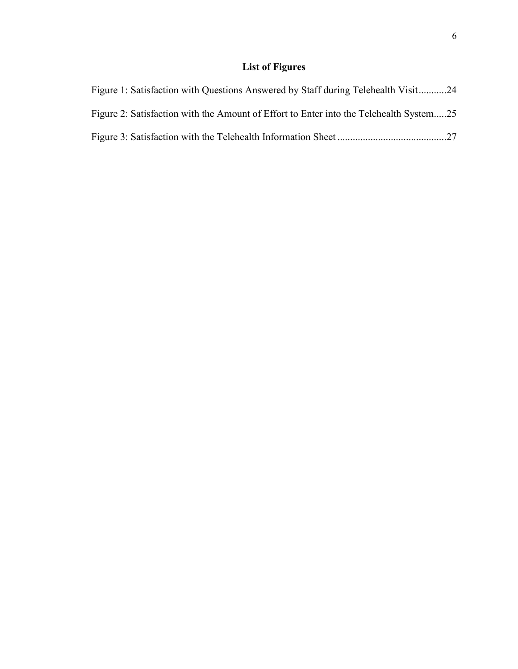# **List of Figures**

| Figure 1: Satisfaction with Questions Answered by Staff during Telehealth Visit24      |  |
|----------------------------------------------------------------------------------------|--|
| Figure 2: Satisfaction with the Amount of Effort to Enter into the Telehealth System25 |  |
|                                                                                        |  |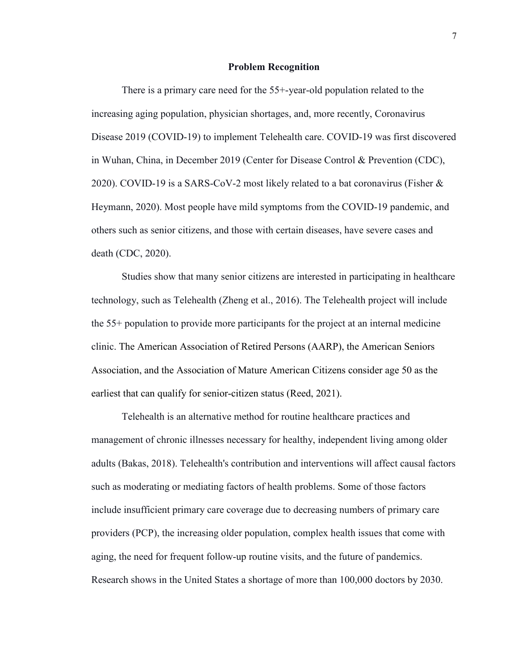#### **Problem Recognition**

There is a primary care need for the 55+-year-old population related to the increasing aging population, physician shortages, and, more recently, Coronavirus Disease 2019 (COVID-19) to implement Telehealth care. COVID-19 was first discovered in Wuhan, China, in December 2019 (Center for Disease Control & Prevention (CDC), 2020). COVID-19 is a SARS-CoV-2 most likely related to a bat coronavirus (Fisher  $\&$ Heymann, 2020). Most people have mild symptoms from the COVID-19 pandemic, and others such as senior citizens, and those with certain diseases, have severe cases and death (CDC, 2020).

Studies show that many senior citizens are interested in participating in healthcare technology, such as Telehealth (Zheng et al., 2016). The Telehealth project will include the 55+ population to provide more participants for the project at an internal medicine clinic. The American Association of Retired Persons (AARP), the American Seniors Association, and the Association of Mature American Citizens consider age 50 as the earliest that can qualify for senior-citizen status (Reed, 2021).

Telehealth is an alternative method for routine healthcare practices and management of chronic illnesses necessary for healthy, independent living among older adults (Bakas, 2018). Telehealth's contribution and interventions will affect causal factors such as moderating or mediating factors of health problems. Some of those factors include insufficient primary care coverage due to decreasing numbers of primary care providers (PCP), the increasing older population, complex health issues that come with aging, the need for frequent follow-up routine visits, and the future of pandemics. Research shows in the United States a shortage of more than 100,000 doctors by 2030.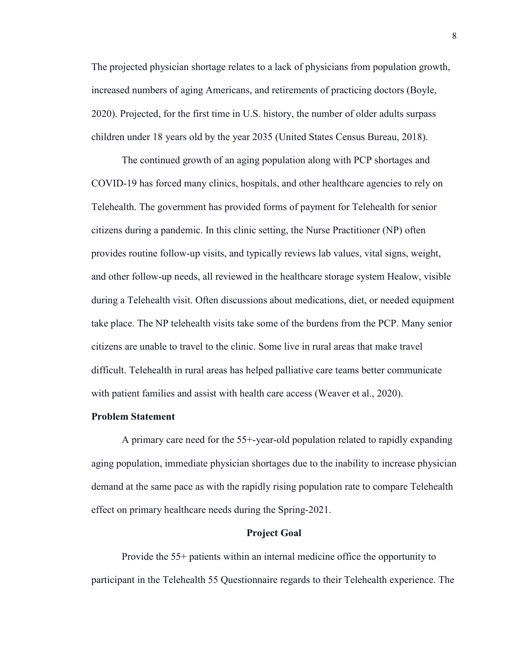The projected physician shortage relates to a lack of physicians from population growth, increased numbers of aging Americans, and retirements of practicing doctors (Boyle, 2020). Projected, for the first time in U.S. history, the number of older adults surpass children under 18 years old by the year 2035 (United States Census Bureau, 2018).

The continued growth of an aging population along with PCP shortages and COVID-19 has forced many clinics, hospitals, and other healthcare agencies to rely on Telehealth. The government has provided forms of payment for Telehealth for senior citizens during a pandemic. In this clinic setting, the Nurse Practitioner (NP) often provides routine follow-up visits, and typically reviews lab values, vital signs, weight, and other follow-up needs, all reviewed in the healthcare storage system Healow, visible during a Telehealth visit. Often discussions about medications, diet, or needed equipment take place. The NP telehealth visits take some of the burdens from the PCP. Many senior citizens are unable to travel to the clinic. Some live in rural areas that make travel difficult. Telehealth in rural areas has helped palliative care teams better communicate with patient families and assist with health care access (Weaver et al., 2020).

#### **Problem Statement**

A primary care need for the 55+-year-old population related to rapidly expanding aging population, immediate physician shortages due to the inability to increase physician demand at the same pace as with the rapidly rising population rate to compare Telehealth effect on primary healthcare needs during the Spring-2021.

#### **Project Goal**

Provide the 55+ patients within an internal medicine office the opportunity to participant in the Telehealth 55 Questionnaire regards to their Telehealth experience. The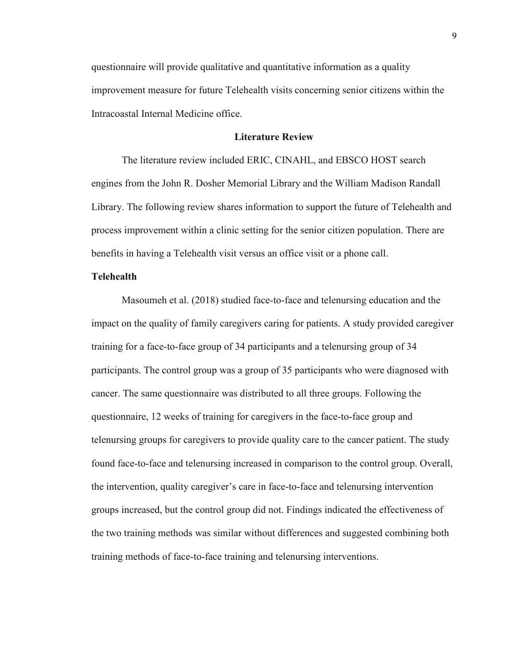questionnaire will provide qualitative and quantitative information as a quality improvement measure for future Telehealth visits concerning senior citizens within the Intracoastal Internal Medicine office.

#### **Literature Review**

The literature review included ERIC, CINAHL, and EBSCO HOST search engines from the John R. Dosher Memorial Library and the William Madison Randall Library. The following review shares information to support the future of Telehealth and process improvement within a clinic setting for the senior citizen population. There are benefits in having a Telehealth visit versus an office visit or a phone call.

#### **Telehealth**

Masoumeh et al. (2018) studied face-to-face and telenursing education and the impact on the quality of family caregivers caring for patients. A study provided caregiver training for a face-to-face group of 34 participants and a telenursing group of 34 participants. The control group was a group of 35 participants who were diagnosed with cancer. The same questionnaire was distributed to all three groups. Following the questionnaire, 12 weeks of training for caregivers in the face-to-face group and telenursing groups for caregivers to provide quality care to the cancer patient. The study found face-to-face and telenursing increased in comparison to the control group. Overall, the intervention, quality caregiver's care in face-to-face and telenursing intervention groups increased, but the control group did not. Findings indicated the effectiveness of the two training methods was similar without differences and suggested combining both training methods of face-to-face training and telenursing interventions.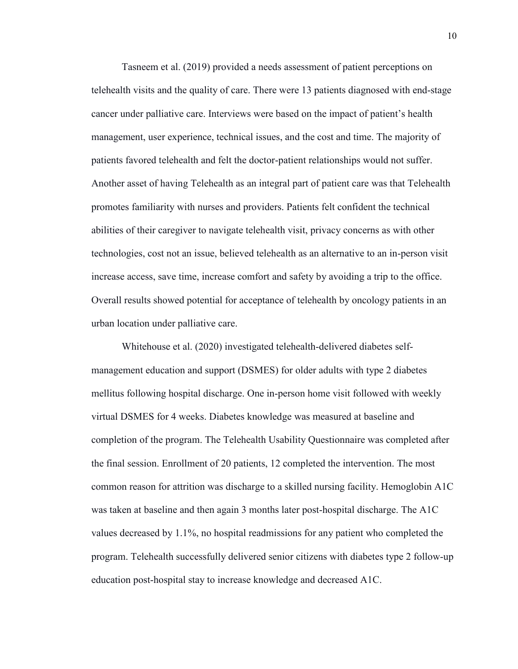Tasneem et al. (2019) provided a needs assessment of patient perceptions on telehealth visits and the quality of care. There were 13 patients diagnosed with end-stage cancer under palliative care. Interviews were based on the impact of patient's health management, user experience, technical issues, and the cost and time. The majority of patients favored telehealth and felt the doctor-patient relationships would not suffer. Another asset of having Telehealth as an integral part of patient care was that Telehealth promotes familiarity with nurses and providers. Patients felt confident the technical abilities of their caregiver to navigate telehealth visit, privacy concerns as with other technologies, cost not an issue, believed telehealth as an alternative to an in-person visit increase access, save time, increase comfort and safety by avoiding a trip to the office. Overall results showed potential for acceptance of telehealth by oncology patients in an urban location under palliative care.

Whitehouse et al. (2020) investigated telehealth-delivered diabetes selfmanagement education and support (DSMES) for older adults with type 2 diabetes mellitus following hospital discharge. One in-person home visit followed with weekly virtual DSMES for 4 weeks. Diabetes knowledge was measured at baseline and completion of the program. The Telehealth Usability Questionnaire was completed after the final session. Enrollment of 20 patients, 12 completed the intervention. The most common reason for attrition was discharge to a skilled nursing facility. Hemoglobin A1C was taken at baseline and then again 3 months later post-hospital discharge. The A1C values decreased by 1.1%, no hospital readmissions for any patient who completed the program. Telehealth successfully delivered senior citizens with diabetes type 2 follow-up education post-hospital stay to increase knowledge and decreased A1C.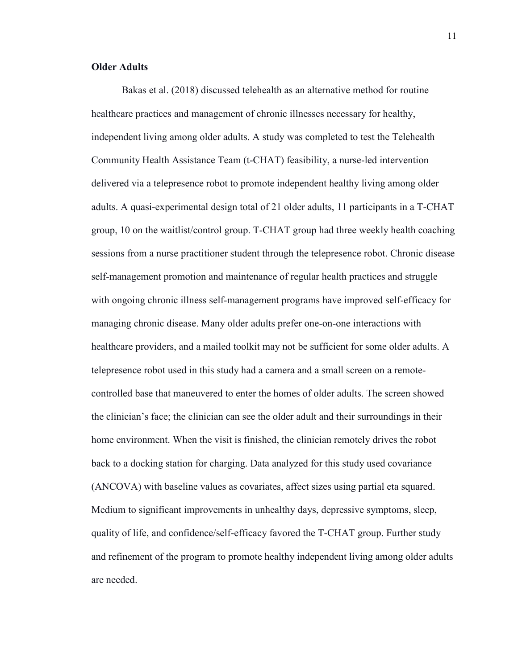#### **Older Adults**

Bakas et al. (2018) discussed telehealth as an alternative method for routine healthcare practices and management of chronic illnesses necessary for healthy, independent living among older adults. A study was completed to test the Telehealth Community Health Assistance Team (t-CHAT) feasibility, a nurse-led intervention delivered via a telepresence robot to promote independent healthy living among older adults. A quasi-experimental design total of 21 older adults, 11 participants in a T-CHAT group, 10 on the waitlist/control group. T-CHAT group had three weekly health coaching sessions from a nurse practitioner student through the telepresence robot. Chronic disease self-management promotion and maintenance of regular health practices and struggle with ongoing chronic illness self-management programs have improved self-efficacy for managing chronic disease. Many older adults prefer one-on-one interactions with healthcare providers, and a mailed toolkit may not be sufficient for some older adults. A telepresence robot used in this study had a camera and a small screen on a remotecontrolled base that maneuvered to enter the homes of older adults. The screen showed the clinician's face; the clinician can see the older adult and their surroundings in their home environment. When the visit is finished, the clinician remotely drives the robot back to a docking station for charging. Data analyzed for this study used covariance (ANCOVA) with baseline values as covariates, affect sizes using partial eta squared. Medium to significant improvements in unhealthy days, depressive symptoms, sleep, quality of life, and confidence/self-efficacy favored the T-CHAT group. Further study and refinement of the program to promote healthy independent living among older adults are needed.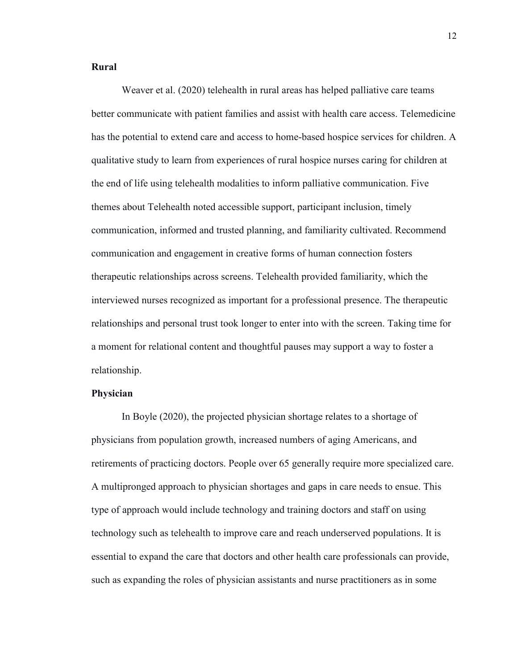#### **Rural**

Weaver et al. (2020) telehealth in rural areas has helped palliative care teams better communicate with patient families and assist with health care access. Telemedicine has the potential to extend care and access to home-based hospice services for children. A qualitative study to learn from experiences of rural hospice nurses caring for children at the end of life using telehealth modalities to inform palliative communication. Five themes about Telehealth noted accessible support, participant inclusion, timely communication, informed and trusted planning, and familiarity cultivated. Recommend communication and engagement in creative forms of human connection fosters therapeutic relationships across screens. Telehealth provided familiarity, which the interviewed nurses recognized as important for a professional presence. The therapeutic relationships and personal trust took longer to enter into with the screen. Taking time for a moment for relational content and thoughtful pauses may support a way to foster a relationship.

#### **Physician**

In Boyle (2020), the projected physician shortage relates to a shortage of physicians from population growth, increased numbers of aging Americans, and retirements of practicing doctors. People over 65 generally require more specialized care. A multipronged approach to physician shortages and gaps in care needs to ensue. This type of approach would include technology and training doctors and staff on using technology such as telehealth to improve care and reach underserved populations. It is essential to expand the care that doctors and other health care professionals can provide, such as expanding the roles of physician assistants and nurse practitioners as in some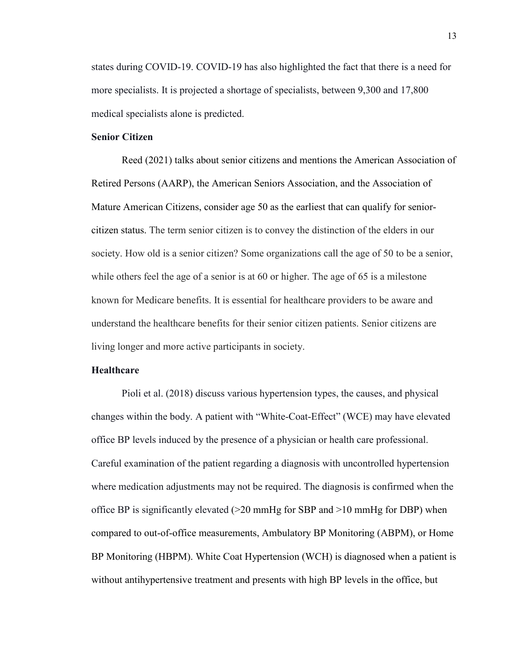states during COVID-19. COVID-19 has also highlighted the fact that there is a need for more specialists. It is projected a shortage of specialists, between 9,300 and 17,800 medical specialists alone is predicted.

#### **Senior Citizen**

Reed (2021) talks about senior citizens and mentions the American Association of Retired Persons (AARP), the American Seniors Association, and the Association of Mature American Citizens, consider age 50 as the earliest that can qualify for seniorcitizen status. The term senior citizen is to convey the distinction of the elders in our society. How old is a senior citizen? Some organizations call the age of 50 to be a senior, while others feel the age of a senior is at 60 or higher. The age of 65 is a milestone known for Medicare benefits. It is essential for healthcare providers to be aware and understand the healthcare benefits for their senior citizen patients. Senior citizens are living longer and more active participants in society.

#### **Healthcare**

Pioli et al. (2018) discuss various hypertension types, the causes, and physical changes within the body. A patient with "White-Coat-Effect" (WCE) may have elevated office BP levels induced by the presence of a physician or health care professional. Careful examination of the patient regarding a diagnosis with uncontrolled hypertension where medication adjustments may not be required. The diagnosis is confirmed when the office BP is significantly elevated  $(>=20 \text{ mmHg}$  for SBP and  $>=10 \text{ mmHg}$  for DBP) when compared to out-of-office measurements, Ambulatory BP Monitoring (ABPM), or Home BP Monitoring (HBPM). White Coat Hypertension (WCH) is diagnosed when a patient is without antihypertensive treatment and presents with high BP levels in the office, but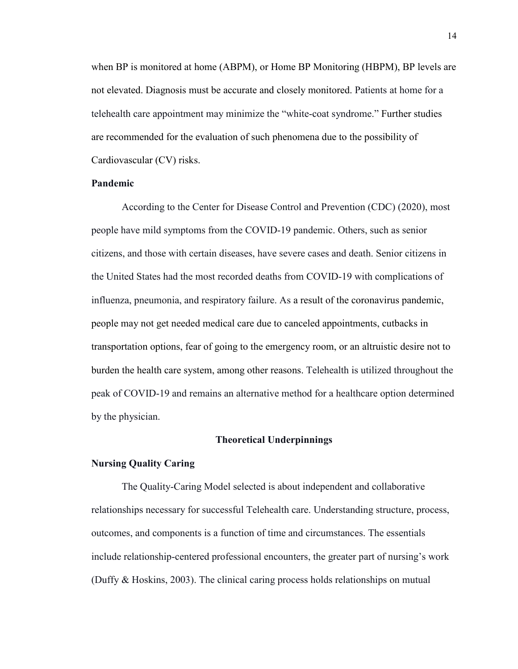when BP is monitored at home (ABPM), or Home BP Monitoring (HBPM), BP levels are not elevated. Diagnosis must be accurate and closely monitored. Patients at home for a telehealth care appointment may minimize the "white-coat syndrome." Further studies are recommended for the evaluation of such phenomena due to the possibility of Cardiovascular (CV) risks.

#### **Pandemic**

According to the Center for Disease Control and Prevention (CDC) (2020), most people have mild symptoms from the COVID-19 pandemic. Others, such as senior citizens, and those with certain diseases, have severe cases and death. Senior citizens in the United States had the most recorded deaths from COVID-19 with complications of influenza, pneumonia, and respiratory failure. As a result of the coronavirus pandemic, people may not get needed medical care due to canceled appointments, cutbacks in transportation options, fear of going to the emergency room, or an altruistic desire not to burden the health care system, among other reasons. Telehealth is utilized throughout the peak of COVID-19 and remains an alternative method for a healthcare option determined by the physician.

#### **Theoretical Underpinnings**

#### **Nursing Quality Caring**

The Quality-Caring Model selected is about independent and collaborative relationships necessary for successful Telehealth care. Understanding structure, process, outcomes, and components is a function of time and circumstances. The essentials include relationship-centered professional encounters, the greater part of nursing's work (Duffy & Hoskins, 2003). The clinical caring process holds relationships on mutual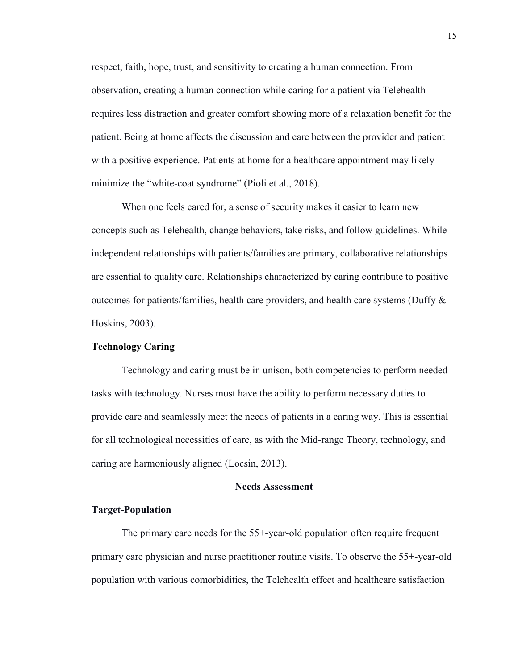respect, faith, hope, trust, and sensitivity to creating a human connection. From observation, creating a human connection while caring for a patient via Telehealth requires less distraction and greater comfort showing more of a relaxation benefit for the patient. Being at home affects the discussion and care between the provider and patient with a positive experience. Patients at home for a healthcare appointment may likely minimize the "white-coat syndrome" (Pioli et al., 2018).

When one feels cared for, a sense of security makes it easier to learn new concepts such as Telehealth, change behaviors, take risks, and follow guidelines. While independent relationships with patients/families are primary, collaborative relationships are essential to quality care. Relationships characterized by caring contribute to positive outcomes for patients/families, health care providers, and health care systems (Duffy  $\&$ Hoskins, 2003).

#### **Technology Caring**

Technology and caring must be in unison, both competencies to perform needed tasks with technology. Nurses must have the ability to perform necessary duties to provide care and seamlessly meet the needs of patients in a caring way. This is essential for all technological necessities of care, as with the Mid-range Theory, technology, and caring are harmoniously aligned (Locsin, 2013).

#### **Needs Assessment**

#### **Target-Population**

The primary care needs for the 55+-year-old population often require frequent primary care physician and nurse practitioner routine visits. To observe the 55+-year-old population with various comorbidities, the Telehealth effect and healthcare satisfaction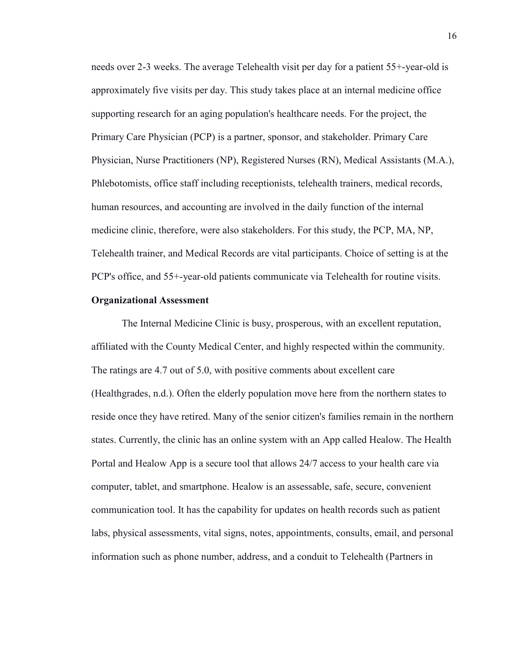needs over 2-3 weeks. The average Telehealth visit per day for a patient 55+-year-old is approximately five visits per day. This study takes place at an internal medicine office supporting research for an aging population's healthcare needs. For the project, the Primary Care Physician (PCP) is a partner, sponsor, and stakeholder. Primary Care Physician, Nurse Practitioners (NP), Registered Nurses (RN), Medical Assistants (M.A.), Phlebotomists, office staff including receptionists, telehealth trainers, medical records, human resources, and accounting are involved in the daily function of the internal medicine clinic, therefore, were also stakeholders. For this study, the PCP, MA, NP, Telehealth trainer, and Medical Records are vital participants. Choice of setting is at the PCP's office, and 55+-year-old patients communicate via Telehealth for routine visits.

#### **Organizational Assessment**

The Internal Medicine Clinic is busy, prosperous, with an excellent reputation, affiliated with the County Medical Center, and highly respected within the community. The ratings are 4.7 out of 5.0, with positive comments about excellent care (Healthgrades, n.d.). Often the elderly population move here from the northern states to reside once they have retired. Many of the senior citizen's families remain in the northern states. Currently, the clinic has an online system with an App called Healow. The Health Portal and Healow App is a secure tool that allows 24/7 access to your health care via computer, tablet, and smartphone. Healow is an assessable, safe, secure, convenient communication tool. It has the capability for updates on health records such as patient labs, physical assessments, vital signs, notes, appointments, consults, email, and personal information such as phone number, address, and a conduit to Telehealth (Partners in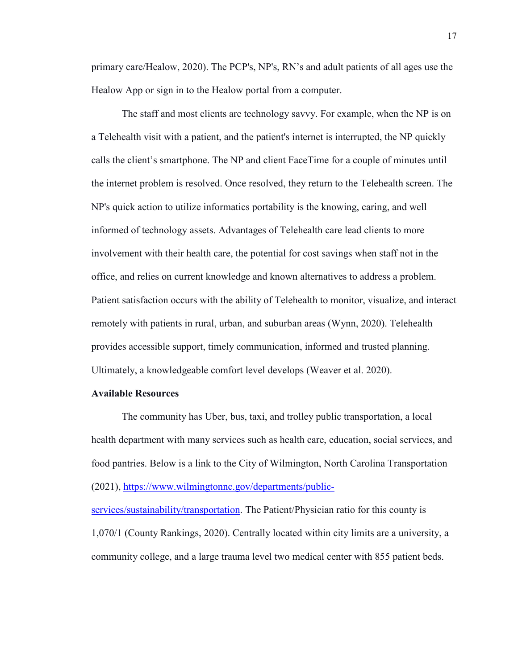primary care/Healow, 2020). The PCP's, NP's, RN's and adult patients of all ages use the Healow App or sign in to the Healow portal from a computer.

The staff and most clients are technology savvy. For example, when the NP is on a Telehealth visit with a patient, and the patient's internet is interrupted, the NP quickly calls the client's smartphone. The NP and client FaceTime for a couple of minutes until the internet problem is resolved. Once resolved, they return to the Telehealth screen. The NP's quick action to utilize informatics portability is the knowing, caring, and well informed of technology assets. Advantages of Telehealth care lead clients to more involvement with their health care, the potential for cost savings when staff not in the office, and relies on current knowledge and known alternatives to address a problem. Patient satisfaction occurs with the ability of Telehealth to monitor, visualize, and interact remotely with patients in rural, urban, and suburban areas (Wynn, 2020). Telehealth provides accessible support, timely communication, informed and trusted planning. Ultimately, a knowledgeable comfort level develops (Weaver et al. 2020).

#### **Available Resources**

The community has Uber, bus, taxi, and trolley public transportation, a local health department with many services such as health care, education, social services, and food pantries. Below is a link to the City of Wilmington, North Carolina Transportation (2021), [https://www.wilmingtonnc.gov/departments/public-](https://www.wilmingtonnc.gov/departments/public-services/sustainability/transportation)

[services/sustainability/transportation.](https://www.wilmingtonnc.gov/departments/public-services/sustainability/transportation) The Patient/Physician ratio for this county is 1,070/1 (County Rankings, 2020). Centrally located within city limits are a university, a community college, and a large trauma level two medical center with 855 patient beds.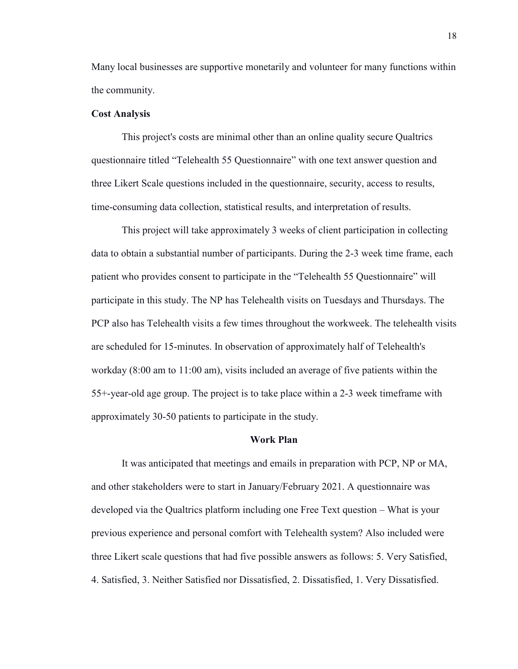Many local businesses are supportive monetarily and volunteer for many functions within the community.

#### **Cost Analysis**

This project's costs are minimal other than an online quality secure Qualtrics questionnaire titled "Telehealth 55 Questionnaire" with one text answer question and three Likert Scale questions included in the questionnaire, security, access to results, time-consuming data collection, statistical results, and interpretation of results.

This project will take approximately 3 weeks of client participation in collecting data to obtain a substantial number of participants. During the 2-3 week time frame, each patient who provides consent to participate in the "Telehealth 55 Questionnaire" will participate in this study. The NP has Telehealth visits on Tuesdays and Thursdays. The PCP also has Telehealth visits a few times throughout the workweek. The telehealth visits are scheduled for 15-minutes. In observation of approximately half of Telehealth's workday (8:00 am to 11:00 am), visits included an average of five patients within the 55+-year-old age group. The project is to take place within a 2-3 week timeframe with approximately 30-50 patients to participate in the study.

#### **Work Plan**

It was anticipated that meetings and emails in preparation with PCP, NP or MA, and other stakeholders were to start in January/February 2021. A questionnaire was developed via the Qualtrics platform including one Free Text question – What is your previous experience and personal comfort with Telehealth system? Also included were three Likert scale questions that had five possible answers as follows: 5. Very Satisfied, 4. Satisfied, 3. Neither Satisfied nor Dissatisfied, 2. Dissatisfied, 1. Very Dissatisfied.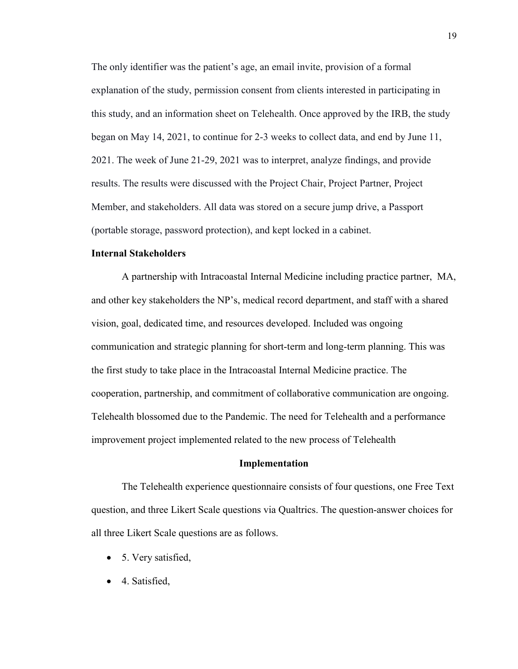The only identifier was the patient's age, an email invite, provision of a formal explanation of the study, permission consent from clients interested in participating in this study, and an information sheet on Telehealth. Once approved by the IRB, the study began on May 14, 2021, to continue for 2-3 weeks to collect data, and end by June 11, 2021. The week of June 21-29, 2021 was to interpret, analyze findings, and provide results. The results were discussed with the Project Chair, Project Partner, Project Member, and stakeholders. All data was stored on a secure jump drive, a Passport (portable storage, password protection), and kept locked in a cabinet.

#### **Internal Stakeholders**

A partnership with Intracoastal Internal Medicine including practice partner, MA, and other key stakeholders the NP's, medical record department, and staff with a shared vision, goal, dedicated time, and resources developed. Included was ongoing communication and strategic planning for short-term and long-term planning. This was the first study to take place in the Intracoastal Internal Medicine practice. The cooperation, partnership, and commitment of collaborative communication are ongoing. Telehealth blossomed due to the Pandemic. The need for Telehealth and a performance improvement project implemented related to the new process of Telehealth

#### **Implementation**

The Telehealth experience questionnaire consists of four questions, one Free Text question, and three Likert Scale questions via Qualtrics. The question-answer choices for all three Likert Scale questions are as follows.

- 5. Very satisfied,
- 4. Satisfied,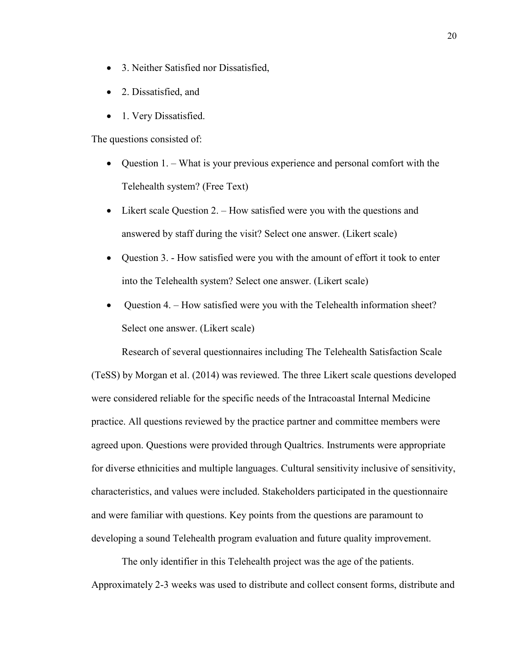- 3. Neither Satisfied nor Dissatisfied,
- 2. Dissatisfied, and
- 1. Very Dissatisfied.

The questions consisted of:

- Question 1. What is your previous experience and personal comfort with the Telehealth system? (Free Text)
- Likert scale Question 2. How satisfied were you with the questions and answered by staff during the visit? Select one answer. (Likert scale)
- Question 3. How satisfied were you with the amount of effort it took to enter into the Telehealth system? Select one answer. (Likert scale)
- Question 4. How satisfied were you with the Telehealth information sheet? Select one answer. (Likert scale)

Research of several questionnaires including The Telehealth Satisfaction Scale (TeSS) by Morgan et al. (2014) was reviewed. The three Likert scale questions developed were considered reliable for the specific needs of the Intracoastal Internal Medicine practice. All questions reviewed by the practice partner and committee members were agreed upon. Questions were provided through Qualtrics. Instruments were appropriate for diverse ethnicities and multiple languages. Cultural sensitivity inclusive of sensitivity, characteristics, and values were included. Stakeholders participated in the questionnaire and were familiar with questions. Key points from the questions are paramount to developing a sound Telehealth program evaluation and future quality improvement.

The only identifier in this Telehealth project was the age of the patients. Approximately 2-3 weeks was used to distribute and collect consent forms, distribute and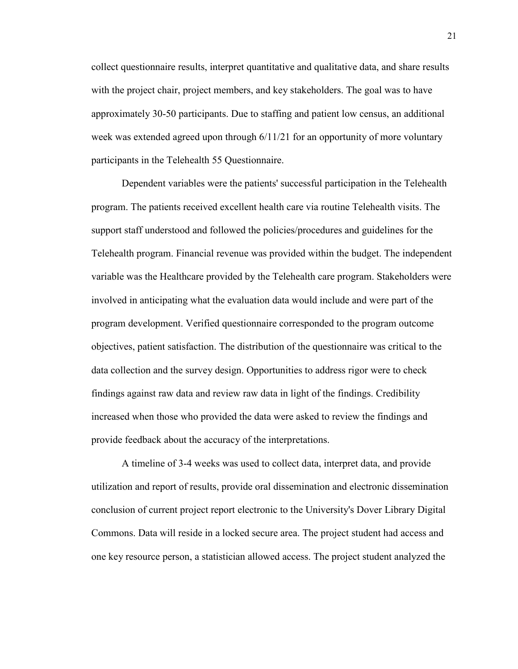collect questionnaire results, interpret quantitative and qualitative data, and share results with the project chair, project members, and key stakeholders. The goal was to have approximately 30-50 participants. Due to staffing and patient low census, an additional week was extended agreed upon through 6/11/21 for an opportunity of more voluntary participants in the Telehealth 55 Questionnaire.

Dependent variables were the patients' successful participation in the Telehealth program. The patients received excellent health care via routine Telehealth visits. The support staff understood and followed the policies/procedures and guidelines for the Telehealth program. Financial revenue was provided within the budget. The independent variable was the Healthcare provided by the Telehealth care program. Stakeholders were involved in anticipating what the evaluation data would include and were part of the program development. Verified questionnaire corresponded to the program outcome objectives, patient satisfaction. The distribution of the questionnaire was critical to the data collection and the survey design. Opportunities to address rigor were to check findings against raw data and review raw data in light of the findings. Credibility increased when those who provided the data were asked to review the findings and provide feedback about the accuracy of the interpretations.

A timeline of 3-4 weeks was used to collect data, interpret data, and provide utilization and report of results, provide oral dissemination and electronic dissemination conclusion of current project report electronic to the University's Dover Library Digital Commons. Data will reside in a locked secure area. The project student had access and one key resource person, a statistician allowed access. The project student analyzed the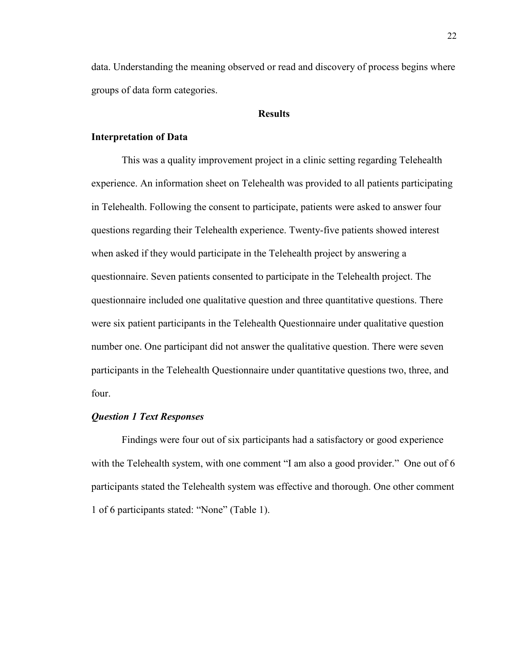data. Understanding the meaning observed or read and discovery of process begins where groups of data form categories.

#### **Results**

#### **Interpretation of Data**

This was a quality improvement project in a clinic setting regarding Telehealth experience. An information sheet on Telehealth was provided to all patients participating in Telehealth. Following the consent to participate, patients were asked to answer four questions regarding their Telehealth experience. Twenty-five patients showed interest when asked if they would participate in the Telehealth project by answering a questionnaire. Seven patients consented to participate in the Telehealth project. The questionnaire included one qualitative question and three quantitative questions. There were six patient participants in the Telehealth Questionnaire under qualitative question number one. One participant did not answer the qualitative question. There were seven participants in the Telehealth Questionnaire under quantitative questions two, three, and four.

#### *Question 1 Text Responses*

Findings were four out of six participants had a satisfactory or good experience with the Telehealth system, with one comment "I am also a good provider." One out of 6 participants stated the Telehealth system was effective and thorough. One other comment 1 of 6 participants stated: "None" (Table 1).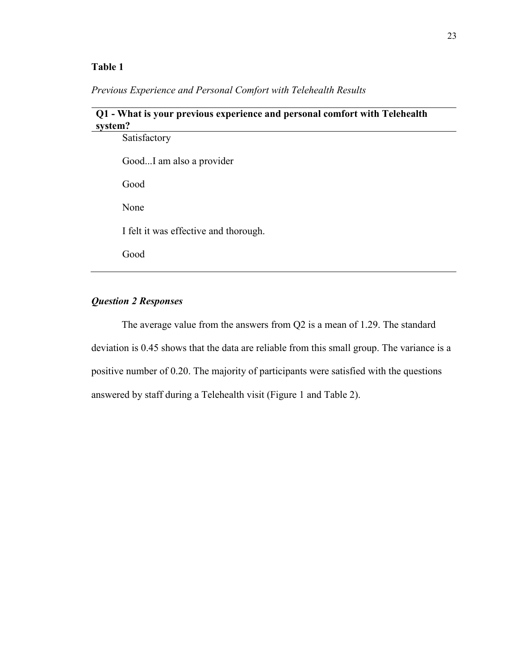#### **Table 1**

*Previous Experience and Personal Comfort with Telehealth Results*

## **Q1 - What is your previous experience and personal comfort with Telehealth system?**

| Satisfactory                          |
|---------------------------------------|
| GoodI am also a provider              |
| Good                                  |
| None                                  |
| I felt it was effective and thorough. |
| Good                                  |
|                                       |

### *Question 2 Responses*

The average value from the answers from Q2 is a mean of 1.29. The standard deviation is 0.45 shows that the data are reliable from this small group. The variance is a positive number of 0.20. The majority of participants were satisfied with the questions answered by staff during a Telehealth visit (Figure 1 and Table 2).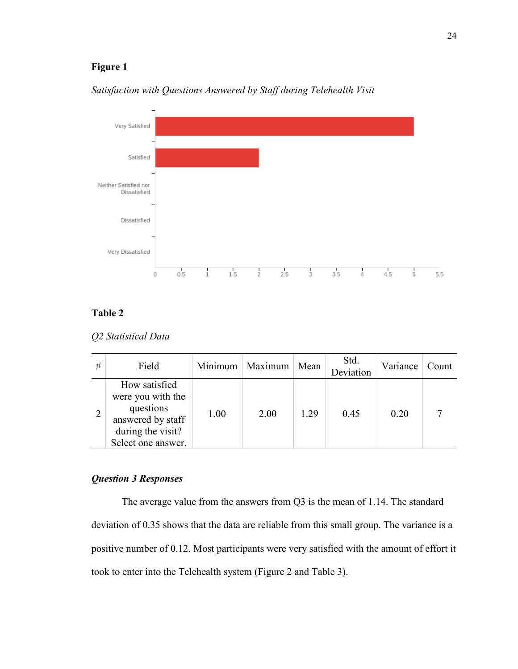## **Figure 1**



*Satisfaction with Questions Answered by Staff during Telehealth Visit*

## **Table 2**

*Q2 Statistical Data*

| # | Field                                                                                                           |      | Minimum   Maximum   Mean |      | Std.<br>Deviation | Variance | Count |
|---|-----------------------------------------------------------------------------------------------------------------|------|--------------------------|------|-------------------|----------|-------|
|   | How satisfied<br>were you with the<br>questions<br>answered by staff<br>during the visit?<br>Select one answer. | 1.00 | 2.00                     | 1.29 | 0.45              | 0.20     |       |

### *Question 3 Responses*

The average value from the answers from Q3 is the mean of 1.14. The standard deviation of 0.35 shows that the data are reliable from this small group. The variance is a positive number of 0.12. Most participants were very satisfied with the amount of effort it took to enter into the Telehealth system (Figure 2 and Table 3).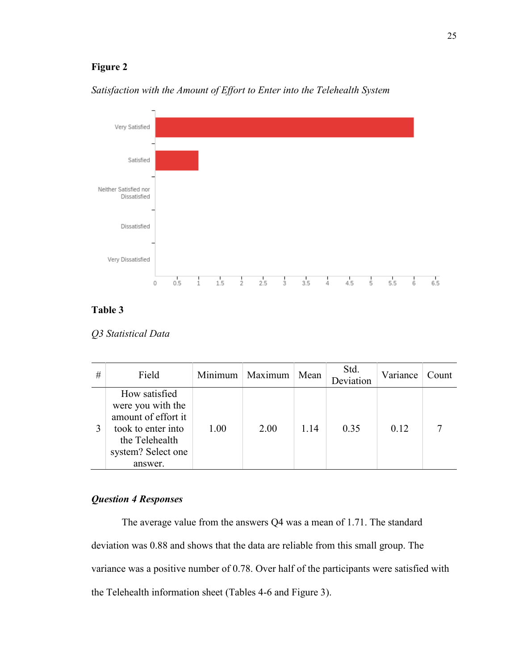## **Figure 2**



*Satisfaction with the Amount of Effort to Enter into the Telehealth System*

### **Table 3**

#### *Q3 Statistical Data*

| # | Field                                                                                                                              | Minimum | Maximum | Mean | Std.<br>Deviation | Variance | Count |
|---|------------------------------------------------------------------------------------------------------------------------------------|---------|---------|------|-------------------|----------|-------|
|   | How satisfied<br>were you with the<br>amount of effort it<br>took to enter into<br>the Telehealth<br>system? Select one<br>answer. | 1.00    | 2.00    | 1.14 | 0.35              | 0.12     |       |

## *Question 4 Responses*

The average value from the answers Q4 was a mean of 1.71. The standard deviation was 0.88 and shows that the data are reliable from this small group. The variance was a positive number of 0.78. Over half of the participants were satisfied with the Telehealth information sheet (Tables 4-6 and Figure 3).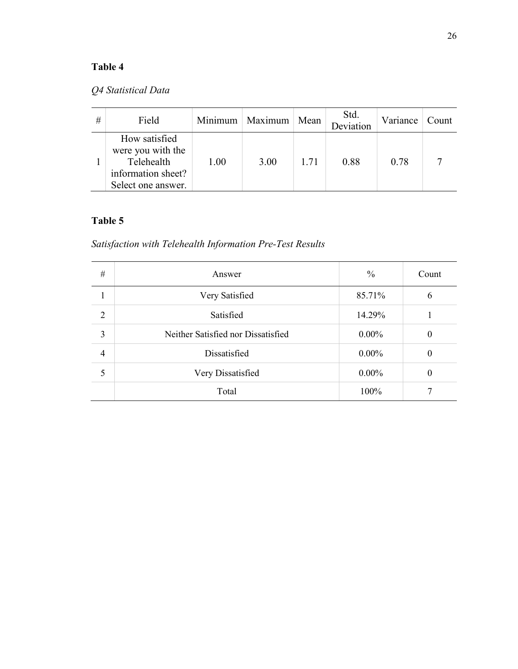# **Table 4**

# *Q4 Statistical Data*

| # | Field                                                                                        |      | Minimum   Maximum   Mean |      | Std.<br>Deviation | Variance | Count |
|---|----------------------------------------------------------------------------------------------|------|--------------------------|------|-------------------|----------|-------|
|   | How satisfied<br>were you with the<br>Telehealth<br>information sheet?<br>Select one answer. | 1.00 | 3.00                     | 1.71 | 0.88              | 0.78     |       |

# **Table 5**

# *Satisfaction with Telehealth Information Pre-Test Results*

| $\#$           | Answer                             | $\frac{0}{0}$ | Count    |
|----------------|------------------------------------|---------------|----------|
|                | Very Satisfied                     | 85.71%        | 6        |
| 2              | Satisfied                          | 14.29%        |          |
| 3              | Neither Satisfied nor Dissatisfied | $0.00\%$      | 0        |
| $\overline{4}$ | Dissatisfied                       | $0.00\%$      | 0        |
| 5              | Very Dissatisfied                  | $0.00\%$      | $\theta$ |
|                | Total                              | 100%          |          |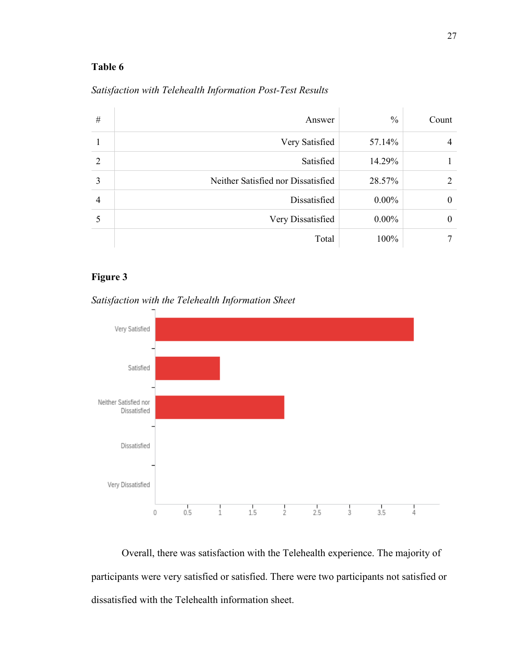### **Table 6**

| #              | Answer                             | $\frac{0}{0}$ | Count    |
|----------------|------------------------------------|---------------|----------|
|                | Very Satisfied                     | 57.14%        | 4        |
| 2              | Satisfied                          | 14.29%        |          |
| 3              | Neither Satisfied nor Dissatisfied | 28.57%        | 2        |
| $\overline{4}$ | Dissatisfied                       | $0.00\%$      | 0        |
|                | Very Dissatisfied                  | $0.00\%$      | $\theta$ |
|                | Total                              | 100%          |          |

## *Satisfaction with Telehealth Information Post-Test Results*

## **Figure 3**



*Satisfaction with the Telehealth Information Sheet*

Overall, there was satisfaction with the Telehealth experience. The majority of participants were very satisfied or satisfied. There were two participants not satisfied or dissatisfied with the Telehealth information sheet.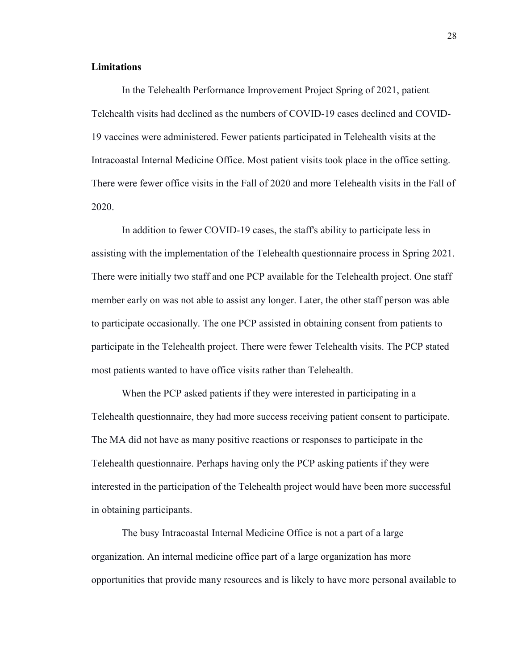#### **Limitations**

In the Telehealth Performance Improvement Project Spring of 2021, patient Telehealth visits had declined as the numbers of COVID-19 cases declined and COVID-19 vaccines were administered. Fewer patients participated in Telehealth visits at the Intracoastal Internal Medicine Office. Most patient visits took place in the office setting. There were fewer office visits in the Fall of 2020 and more Telehealth visits in the Fall of 2020.

In addition to fewer COVID-19 cases, the staff's ability to participate less in assisting with the implementation of the Telehealth questionnaire process in Spring 2021. There were initially two staff and one PCP available for the Telehealth project. One staff member early on was not able to assist any longer. Later, the other staff person was able to participate occasionally. The one PCP assisted in obtaining consent from patients to participate in the Telehealth project. There were fewer Telehealth visits. The PCP stated most patients wanted to have office visits rather than Telehealth.

When the PCP asked patients if they were interested in participating in a Telehealth questionnaire, they had more success receiving patient consent to participate. The MA did not have as many positive reactions or responses to participate in the Telehealth questionnaire. Perhaps having only the PCP asking patients if they were interested in the participation of the Telehealth project would have been more successful in obtaining participants.

The busy Intracoastal Internal Medicine Office is not a part of a large organization. An internal medicine office part of a large organization has more opportunities that provide many resources and is likely to have more personal available to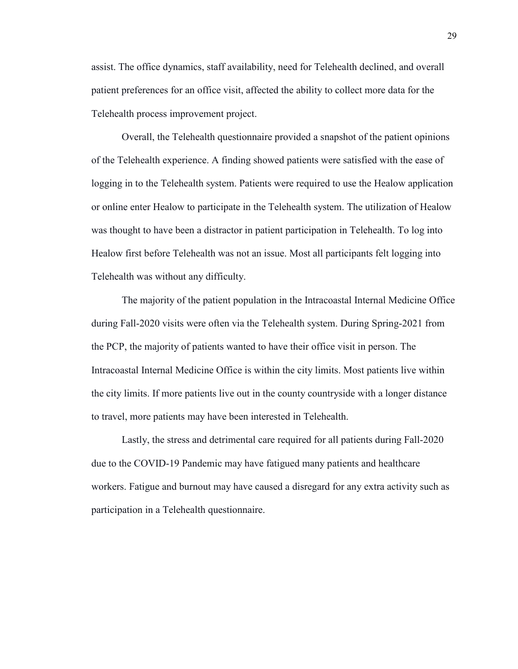assist. The office dynamics, staff availability, need for Telehealth declined, and overall patient preferences for an office visit, affected the ability to collect more data for the Telehealth process improvement project.

Overall, the Telehealth questionnaire provided a snapshot of the patient opinions of the Telehealth experience. A finding showed patients were satisfied with the ease of logging in to the Telehealth system. Patients were required to use the Healow application or online enter Healow to participate in the Telehealth system. The utilization of Healow was thought to have been a distractor in patient participation in Telehealth. To log into Healow first before Telehealth was not an issue. Most all participants felt logging into Telehealth was without any difficulty.

The majority of the patient population in the Intracoastal Internal Medicine Office during Fall-2020 visits were often via the Telehealth system. During Spring-2021 from the PCP, the majority of patients wanted to have their office visit in person. The Intracoastal Internal Medicine Office is within the city limits. Most patients live within the city limits. If more patients live out in the county countryside with a longer distance to travel, more patients may have been interested in Telehealth.

Lastly, the stress and detrimental care required for all patients during Fall-2020 due to the COVID-19 Pandemic may have fatigued many patients and healthcare workers. Fatigue and burnout may have caused a disregard for any extra activity such as participation in a Telehealth questionnaire.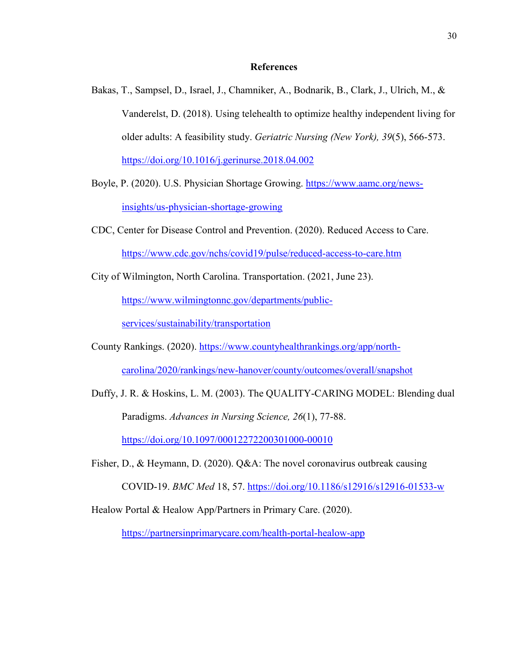#### **References**

- Bakas, T., Sampsel, D., Israel, J., Chamniker, A., Bodnarik, B., Clark, J., Ulrich, M., & Vanderelst, D. (2018). Using telehealth to optimize healthy independent living for older adults: A feasibility study. *Geriatric Nursing (New York), 39*(5), 566-573. <https://doi.org/10.1016/j.gerinurse.2018.04.002>
- Boyle, P. (2020). U.S. Physician Shortage Growing. [https://www.aamc.org/news](https://www.aamc.org/news-%20%20insights/us-physician-shortage-growing)[insights/us-physician-shortage-growing](https://www.aamc.org/news-%20%20insights/us-physician-shortage-growing)
- CDC, Center for Disease Control and Prevention. (2020). Reduced Access to Care. <https://www.cdc.gov/nchs/covid19/pulse/reduced-access-to-care.htm>
- City of Wilmington, North Carolina. Transportation. (2021, June 23). [https://www.wilmingtonnc.gov/departments/public](https://www.wilmingtonnc.gov/departments/public-services/sustainability/transportation)[services/sustainability/transportation](https://www.wilmingtonnc.gov/departments/public-services/sustainability/transportation)
- County Rankings. (2020). [https://www.countyhealthrankings.org/app/north](https://www.countyhealthrankings.org/app/north-carolina/2020/rankings/new-hanover/county/outcomes/overall/snapshot)[carolina/2020/rankings/new-hanover/county/outcomes/overall/snapshot](https://www.countyhealthrankings.org/app/north-carolina/2020/rankings/new-hanover/county/outcomes/overall/snapshot)
- Duffy, J. R. & Hoskins, L. M. (2003). The QUALITY-CARING MODEL: Blending dual Paradigms. *Advances in Nursing Science, 26*(1), 77-88. <https://doi.org/10.1097/00012272200301000-00010>
- Fisher, D., & Heymann, D. (2020). Q&A: The novel coronavirus outbreak causing COVID-19. *BMC Med* 18, 57. <https://doi.org/10.1186/s12916/s12916-01533-w>
- Healow Portal & Healow App/Partners in Primary Care. (2020).

<https://partnersinprimarycare.com/health-portal-healow-app>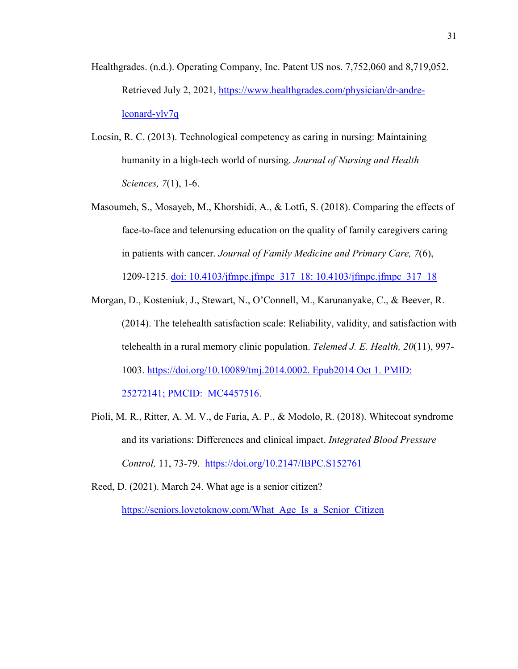- Healthgrades. (n.d.). Operating Company, Inc. Patent US nos. 7,752,060 and 8,719,052. Retrieved July 2, 2021, [https://www.healthgrades.com/physician/dr-andre](https://nam11.safelinks.protection.outlook.com/?url=https%3A%2F%2Fwww.healthgrades.com%2Fphysician%2Fdr-andre-leonard-ylv7q&data=04%7C01%7Cmdavis26%40gardner-webb.edu%7C44687575031e4662c68e08d93d8f52e4%7Cb75d79c569584457972cfe8241c63355%7C0%7C0%7C637608508058951448%7CUnknown%7CTWFpbGZsb3d8eyJWIjoiMC4wLjAwMDAiLCJQIjoiV2luMzIiLCJBTiI6Ik1haWwiLCJXVCI6Mn0%3D%7C1000&sdata=Y1T2ryvUTjRMq5o%2FpoOpBrx8Kv4M6OiiIAtTl44aOV4%3D&reserved=0)[leonard-ylv7q](https://nam11.safelinks.protection.outlook.com/?url=https%3A%2F%2Fwww.healthgrades.com%2Fphysician%2Fdr-andre-leonard-ylv7q&data=04%7C01%7Cmdavis26%40gardner-webb.edu%7C44687575031e4662c68e08d93d8f52e4%7Cb75d79c569584457972cfe8241c63355%7C0%7C0%7C637608508058951448%7CUnknown%7CTWFpbGZsb3d8eyJWIjoiMC4wLjAwMDAiLCJQIjoiV2luMzIiLCJBTiI6Ik1haWwiLCJXVCI6Mn0%3D%7C1000&sdata=Y1T2ryvUTjRMq5o%2FpoOpBrx8Kv4M6OiiIAtTl44aOV4%3D&reserved=0)
- Locsin, R. C. (2013). Technological competency as caring in nursing: Maintaining humanity in a high-tech world of nursing. *Journal of Nursing and Health Sciences, 7*(1), 1-6.
- Masoumeh, S., Mosayeb, M., Khorshidi, A., & Lotfi, S. (2018). Comparing the effects of face-to-face and telenursing education on the quality of family caregivers caring in patients with cancer. *Journal of Family Medicine and Primary Care, 7*(6), 1209-1215. [doi: 10.4103/jfmpc.jfmpc\\_317\\_18: 10.4103/jfmpc.jfmpc\\_317\\_18](doi:%2010.4103/jfmpc.jfmpc%C2%AC_317_18:%2010.4103/jfmpc.jfmpc_317_18)
- Morgan, D., Kosteniuk, J., Stewart, N., O'Connell, M., Karunanyake, C., & Beever, R. (2014). The telehealth satisfaction scale: Reliability, validity, and satisfaction with telehealth in a rural memory clinic population. *Telemed J. E. Health, 20*(11), 997- 1003. [https://doi.org/10.10089/tmj.2014.0002. Epub2014 Oct 1. PMID:](https://doi.org/10.10089/tmj.2014.0002.%20Epub2014%20Oct%201.%20PMID:%2025272141;%20PMCID:%20%20MC4457516)  [25272141; PMCID: MC4457516.](https://doi.org/10.10089/tmj.2014.0002.%20Epub2014%20Oct%201.%20PMID:%2025272141;%20PMCID:%20%20MC4457516)
- Pioli, M. R., Ritter, A. M. V., de Faria, A. P., & Modolo, R. (2018). Whitecoat syndrome and its variations: Differences and clinical impact. *Integrated Blood Pressure Control,* 11, 73-79. [https://doi.org/10.2147/IBPC.S152761](doi:10.2147/IBPC.S152761)
- Reed, D. (2021). March 24. What age is a senior citizen? https://seniors.lovetoknow.com/What Age Is a Senior Citizen